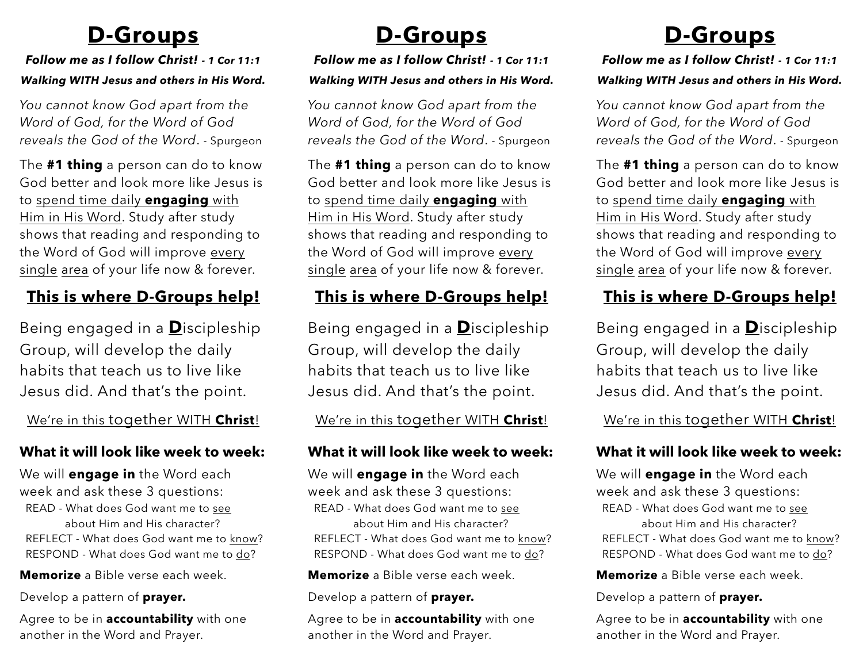# **D-Groups**

#### *Follow me as I follow Christ! - 1 Cor 11:1*

### *Walking WITH Jesus and others in His Word.*

*You cannot know God apart from the Word of God, for the Word of God reveals the God of the Word*. - Spurgeon

The **#1 thing** a person can do to know God better and look more like Jesus is to spend time daily **engaging** with Him in His Word. Study after study shows that reading and responding to the Word of God will improve every single area of your life now & forever.

# **This is where D-Groups help!**

Being engaged in a **D**iscipleship Group, will develop the daily habits that teach us to live like Jesus did. And that's the point.

We're in this together WITH **Christ**!

## **What it will look like week to week:**

We will **engage in** the Word each week and ask these 3 questions: READ - What does God want me to see about Him and His character? REFLECT - What does God want me to know? RESPOND - What does God want me to do?

**Memorize** a Bible verse each week.

Develop a pattern of **prayer.**

Agree to be in **accountability** with one another in the Word and Prayer.

# **D-Groups**

#### *Follow me as I follow Christ! - 1 Cor 11:1*

### *Walking WITH Jesus and others in His Word.*

*You cannot know God apart from the Word of God, for the Word of God reveals the God of the Word*. - Spurgeon

The **#1 thing** a person can do to know God better and look more like Jesus is to spend time daily **engaging** with Him in His Word. Study after study shows that reading and responding to the Word of God will improve every single area of your life now & forever.

# **This is where D-Groups help!**

Being engaged in a **D**iscipleship Group, will develop the daily habits that teach us to live like Jesus did. And that's the point.

## We're in this together WITH **Christ**!

## **What it will look like week to week:**

We will **engage in** the Word each week and ask these 3 questions: READ - What does God want me to see about Him and His character? REFLECT - What does God want me to know? RESPOND - What does God want me to do?

**Memorize** a Bible verse each week.

Develop a pattern of **prayer.**

Agree to be in **accountability** with one another in the Word and Prayer.

# **D-Groups**

*Follow me as I follow Christ! - 1 Cor 11:1*

### *Walking WITH Jesus and others in His Word.*

*You cannot know God apart from the Word of God, for the Word of God reveals the God of the Word*. - Spurgeon

The **#1 thing** a person can do to know God better and look more like Jesus is to spend time daily **engaging** with Him in His Word. Study after study shows that reading and responding to the Word of God will improve every single area of your life now & forever.

# **This is where D-Groups help!**

Being engaged in a **D**iscipleship Group, will develop the daily habits that teach us to live like Jesus did. And that's the point.

We're in this together WITH **Christ**!

## **What it will look like week to week:**

We will **engage in** the Word each week and ask these 3 questions: READ - What does God want me to see about Him and His character? REFLECT - What does God want me to know? RESPOND - What does God want me to do?

**Memorize** a Bible verse each week.

Develop a pattern of **prayer.**

Agree to be in **accountability** with one another in the Word and Prayer.